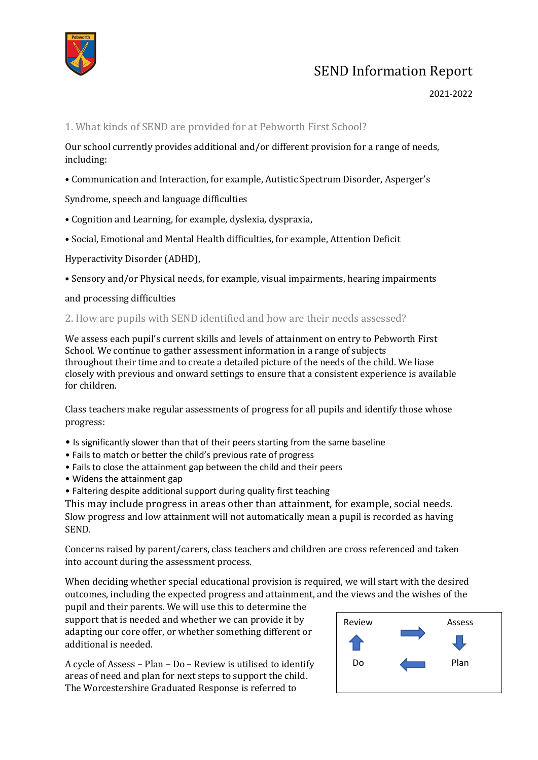

### 2021-2022

#### 1. What kinds of SEND are provided for at Pebworth First School?

Our school currently provides additional and/or different provision for a range of needs, including:

• Communication and Interaction, for example, Autistic Spectrum Disorder, Asperger's

Syndrome, speech and language difficulties

- Cognition and Learning, for example, dyslexia, dyspraxia,
- Social, Emotional and Mental Health difficulties, for example, Attention Deficit

Hyperactivity Disorder (ADHD),

• Sensory and/or Physical needs, for example, visual impairments, hearing impairments

and processing difficulties

#### 2. How are pupils with SEND identified and how are their needs assessed?

We assess each pupil's current skills and levels of attainment on entry to Pebworth First School. We continue to gather assessment information in a range of subjects throughout their time and to create a detailed picture of the needs of the child. We liase closely with previous and onward settings to ensure that a consistent experience is available for children.

Class teachers make regular assessments of progress for all pupils and identify those whose progress:

- Is significantly slower than that of their peers starting from the same baseline
- Fails to match or better the child's previous rate of progress
- Fails to close the attainment gap between the child and their peers
- Widens the attainment gap
- Faltering despite additional support during quality first teaching

This may include progress in areas other than attainment, for example, social needs. Slow progress and low attainment will not automatically mean a pupil is recorded as having SEND.

Concerns raised by parent/carers, class teachers and children are cross referenced and taken into account during the assessment process.

When deciding whether special educational provision is required, we will start with the desired outcomes, including the expected progress and attainment, and the views and the wishes of the

pupil and their parents. We will use this to determine the support that is needed and whether we can provide it by adapting our core offer, or whether something different or additional is needed.

A cycle of Assess – Plan – Do – Review is utilised to identify areas of need and plan for next steps to support the child. The Worcestershire Graduated Response is referred to

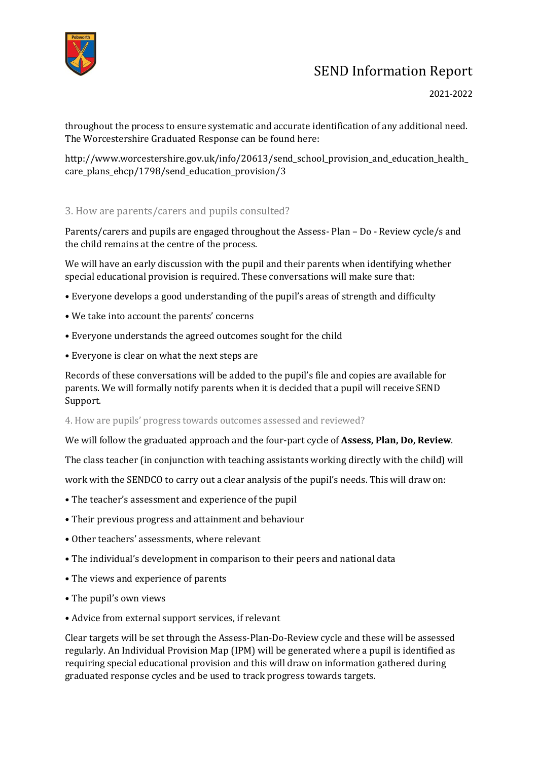

#### 2021-2022

throughout the process to ensure systematic and accurate identification of any additional need. The Worcestershire Graduated Response can be found here:

http://www.worcestershire.gov.uk/info/20613/send\_school\_provision\_and\_education\_health\_ care\_plans\_ehcp/1798/send\_education\_provision/3

### 3. How are parents/carers and pupils consulted?

Parents/carers and pupils are engaged throughout the Assess- Plan – Do - Review cycle/s and the child remains at the centre of the process.

We will have an early discussion with the pupil and their parents when identifying whether special educational provision is required. These conversations will make sure that:

- Everyone develops a good understanding of the pupil's areas of strength and difficulty
- We take into account the parents' concerns
- Everyone understands the agreed outcomes sought for the child
- Everyone is clear on what the next steps are

Records of these conversations will be added to the pupil's file and copies are available for parents. We will formally notify parents when it is decided that a pupil will receive SEND Support.

4. How are pupils' progress towards outcomes assessed and reviewed?

We will follow the graduated approach and the four-part cycle of **Assess, Plan, Do, Review**.

The class teacher (in conjunction with teaching assistants working directly with the child) will

work with the SENDCO to carry out a clear analysis of the pupil's needs. This will draw on:

- The teacher's assessment and experience of the pupil
- Their previous progress and attainment and behaviour
- Other teachers' assessments, where relevant
- The individual's development in comparison to their peers and national data
- The views and experience of parents
- The pupil's own views
- Advice from external support services, if relevant

Clear targets will be set through the Assess-Plan-Do-Review cycle and these will be assessed regularly. An Individual Provision Map (IPM) will be generated where a pupil is identified as requiring special educational provision and this will draw on information gathered during graduated response cycles and be used to track progress towards targets.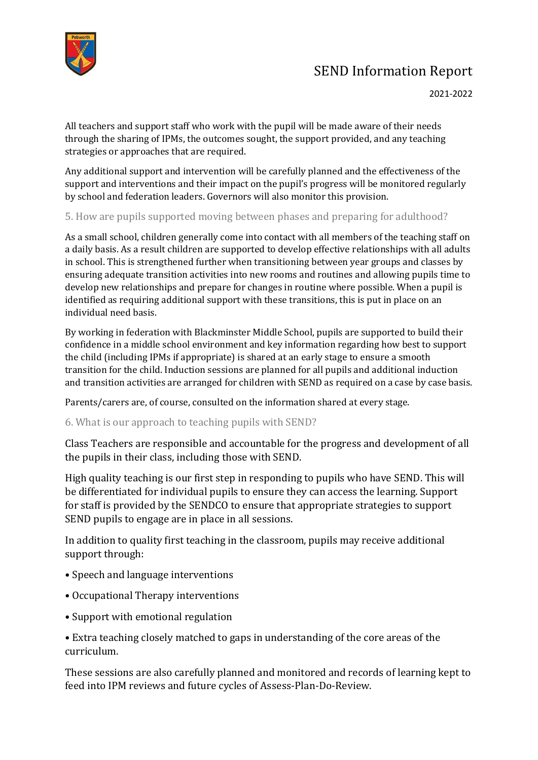

All teachers and support staff who work with the pupil will be made aware of their needs through the sharing of IPMs, the outcomes sought, the support provided, and any teaching strategies or approaches that are required.

Any additional support and intervention will be carefully planned and the effectiveness of the support and interventions and their impact on the pupil's progress will be monitored regularly by school and federation leaders. Governors will also monitor this provision.

## 5. How are pupils supported moving between phases and preparing for adulthood?

As a small school, children generally come into contact with all members of the teaching staff on a daily basis. As a result children are supported to develop effective relationships with all adults in school. This is strengthened further when transitioning between year groups and classes by ensuring adequate transition activities into new rooms and routines and allowing pupils time to develop new relationships and prepare for changes in routine where possible. When a pupil is identified as requiring additional support with these transitions, this is put in place on an individual need basis.

By working in federation with Blackminster Middle School, pupils are supported to build their confidence in a middle school environment and key information regarding how best to support the child (including IPMs if appropriate) is shared at an early stage to ensure a smooth transition for the child. Induction sessions are planned for all pupils and additional induction and transition activities are arranged for children with SEND as required on a case by case basis.

Parents/carers are, of course, consulted on the information shared at every stage.

## 6. What is our approach to teaching pupils with SEND?

Class Teachers are responsible and accountable for the progress and development of all the pupils in their class, including those with SEND.

High quality teaching is our first step in responding to pupils who have SEND. This will be differentiated for individual pupils to ensure they can access the learning. Support for staff is provided by the SENDCO to ensure that appropriate strategies to support SEND pupils to engage are in place in all sessions.

In addition to quality first teaching in the classroom, pupils may receive additional support through:

- Speech and language interventions
- Occupational Therapy interventions
- Support with emotional regulation

• Extra teaching closely matched to gaps in understanding of the core areas of the curriculum.

These sessions are also carefully planned and monitored and records of learning kept to feed into IPM reviews and future cycles of Assess-Plan-Do-Review.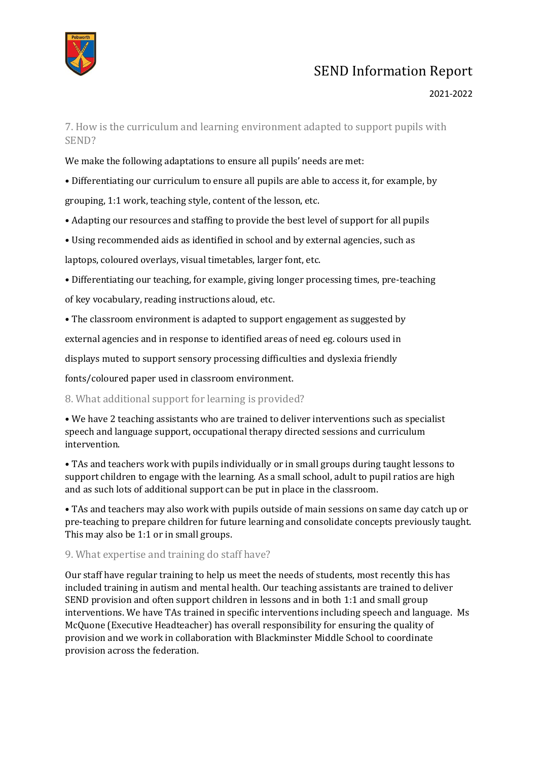

### 2021-2022

7. How is the curriculum and learning environment adapted to support pupils with SEND?

We make the following adaptations to ensure all pupils' needs are met:

• Differentiating our curriculum to ensure all pupils are able to access it, for example, by grouping, 1:1 work, teaching style, content of the lesson, etc.

- Adapting our resources and staffing to provide the best level of support for all pupils
- Using recommended aids as identified in school and by external agencies, such as

laptops, coloured overlays, visual timetables, larger font, etc.

• Differentiating our teaching, for example, giving longer processing times, pre-teaching

of key vocabulary, reading instructions aloud, etc.

• The classroom environment is adapted to support engagement as suggested by

external agencies and in response to identified areas of need eg. colours used in

displays muted to support sensory processing difficulties and dyslexia friendly

fonts/coloured paper used in classroom environment.

### 8. What additional support for learning is provided?

• We have 2 teaching assistants who are trained to deliver interventions such as specialist speech and language support, occupational therapy directed sessions and curriculum intervention.

• TAs and teachers work with pupils individually or in small groups during taught lessons to support children to engage with the learning. As a small school, adult to pupil ratios are high and as such lots of additional support can be put in place in the classroom.

• TAs and teachers may also work with pupils outside of main sessions on same day catch up or pre-teaching to prepare children for future learning and consolidate concepts previously taught. This may also be 1:1 or in small groups.

#### 9. What expertise and training do staff have?

Our staff have regular training to help us meet the needs of students, most recently this has included training in autism and mental health. Our teaching assistants are trained to deliver SEND provision and often support children in lessons and in both 1:1 and small group interventions. We have TAs trained in specific interventions including speech and language. Ms McQuone (Executive Headteacher) has overall responsibility for ensuring the quality of provision and we work in collaboration with Blackminster Middle School to coordinate provision across the federation.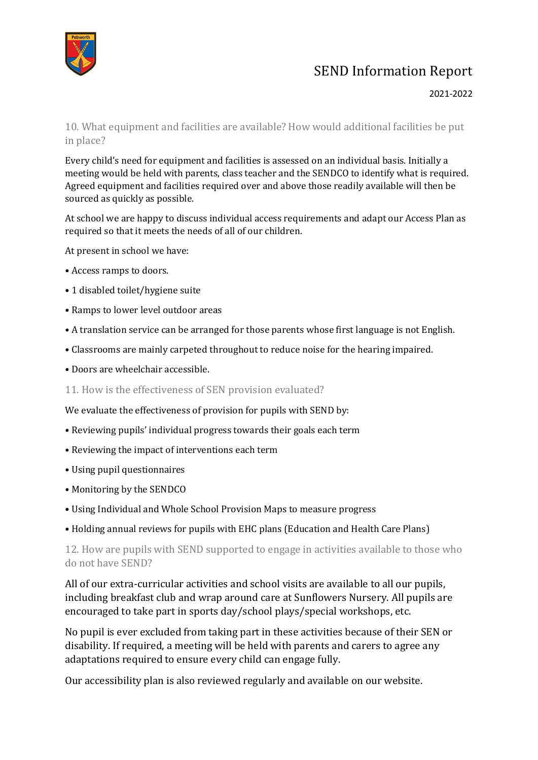

### 2021-2022

10. What equipment and facilities are available? How would additional facilities be put in place?

Every child's need for equipment and facilities is assessed on an individual basis. Initially a meeting would be held with parents, class teacher and the SENDCO to identify what is required. Agreed equipment and facilities required over and above those readily available will then be sourced as quickly as possible.

At school we are happy to discuss individual access requirements and adapt our Access Plan as required so that it meets the needs of all of our children.

At present in school we have:

- Access ramps to doors.
- 1 disabled toilet/hygiene suite
- Ramps to lower level outdoor areas
- A translation service can be arranged for those parents whose first language is not English.
- Classrooms are mainly carpeted throughout to reduce noise for the hearing impaired.
- Doors are wheelchair accessible.

11. How is the effectiveness of SEN provision evaluated?

We evaluate the effectiveness of provision for pupils with SEND by:

- Reviewing pupils' individual progress towards their goals each term
- Reviewing the impact of interventions each term
- Using pupil questionnaires
- Monitoring by the SENDCO
- Using Individual and Whole School Provision Maps to measure progress
- Holding annual reviews for pupils with EHC plans (Education and Health Care Plans)

12. How are pupils with SEND supported to engage in activities available to those who do not have SEND?

All of our extra-curricular activities and school visits are available to all our pupils, including breakfast club and wrap around care at Sunflowers Nursery. All pupils are encouraged to take part in sports day/school plays/special workshops, etc.

No pupil is ever excluded from taking part in these activities because of their SEN or disability. If required, a meeting will be held with parents and carers to agree any adaptations required to ensure every child can engage fully.

Our accessibility plan is also reviewed regularly and available on our website.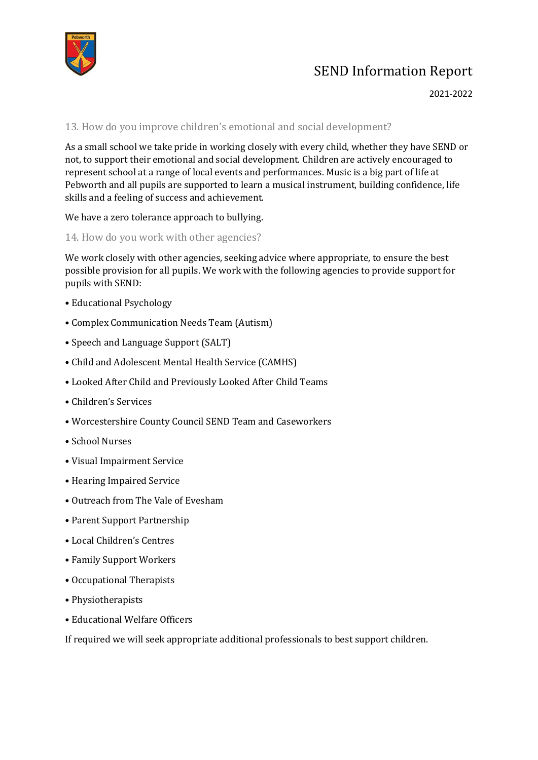

#### 2021-2022

### 13. How do you improve children's emotional and social development?

As a small school we take pride in working closely with every child, whether they have SEND or not, to support their emotional and social development. Children are actively encouraged to represent school at a range of local events and performances. Music is a big part of life at Pebworth and all pupils are supported to learn a musical instrument, building confidence, life skills and a feeling of success and achievement.

We have a zero tolerance approach to bullying.

### 14. How do you work with other agencies?

We work closely with other agencies, seeking advice where appropriate, to ensure the best possible provision for all pupils. We work with the following agencies to provide support for pupils with SEND:

- Educational Psychology
- Complex Communication Needs Team (Autism)
- Speech and Language Support (SALT)
- Child and Adolescent Mental Health Service (CAMHS)
- Looked After Child and Previously Looked After Child Teams
- Children's Services
- Worcestershire County Council SEND Team and Caseworkers
- School Nurses
- Visual Impairment Service
- Hearing Impaired Service
- Outreach from The Vale of Evesham
- Parent Support Partnership
- Local Children's Centres
- Family Support Workers
- Occupational Therapists
- Physiotherapists
- Educational Welfare Officers

If required we will seek appropriate additional professionals to best support children.